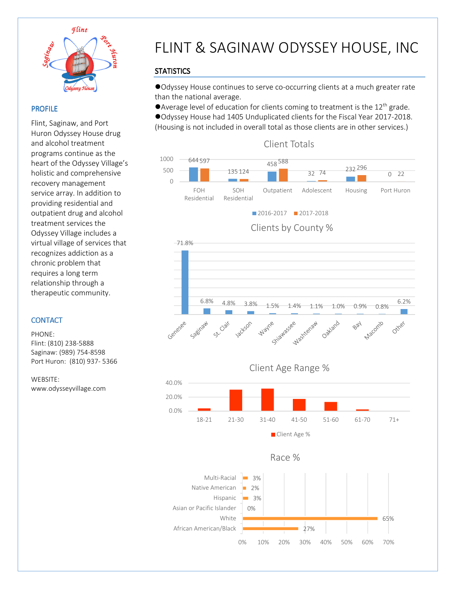

 $\overline{a}$ 

### PROFILE

Flint, Saginaw, and Port Huron Odyssey House drug and alcohol treatment programs continue as the heart of the Odyssey Village's holistic and comprehensive recovery management service array. In addition to providing residential and outpatient drug and alcohol treatment services the Odyssey Village includes a virtual village of services that recognizes addiction as a chronic problem that requires a long term relationship through a therapeutic community.

### **CONTACT**

PHONE: Flint: (810) 238-5888 Saginaw: (989) 754-8598 Port Huron: (810) 937- 5366

WEBSITE: www.odysseyvillage.com

# FLINT & SAGINAW ODYSSEY HOUSE, INC

## **STATISTICS**

Odyssey House continues to serve co-occurring clients at a much greater rate than the national average.

Average level of education for clients coming to treatment is the  $12<sup>th</sup>$  grade.

Odyssey House had 1405 Unduplicated clients for the Fiscal Year 2017-2018. (Housing is not included in overall total as those clients are in other services.)











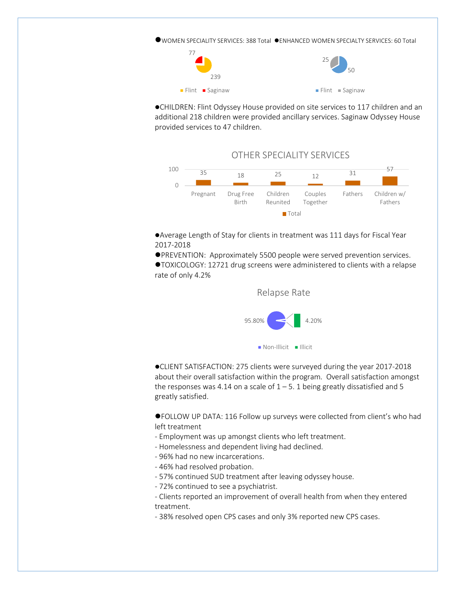WOMEN SPECIALITY SERVICES: 388 Total ENHANCED WOMEN SPECIALTY SERVICES: 60 Total



CHILDREN: Flint Odyssey House provided on site services to 117 children and an additional 218 children were provided ancillary services. Saginaw Odyssey House provided services to 47 children.



Average Length of Stay for clients in treatment was 111 days for Fiscal Year 2017-2018

PREVENTION: Approximately 5500 people were served prevention services.

TOXICOLOGY: 12721 drug screens were administered to clients with a relapse rate of only 4.2%



CLIENT SATISFACTION: 275 clients were surveyed during the year 2017-2018 about their overall satisfaction within the program. Overall satisfaction amongst the responses was 4.14 on a scale of  $1 - 5$ . 1 being greatly dissatisfied and 5 greatly satisfied.

FOLLOW UP DATA: 116 Follow up surveys were collected from client's who had left treatment

- Employment was up amongst clients who left treatment.
- Homelessness and dependent living had declined.
- 96% had no new incarcerations.
- 46% had resolved probation.
- 57% continued SUD treatment after leaving odyssey house.
- 72% continued to see a psychiatrist.

- Clients reported an improvement of overall health from when they entered treatment.

- 38% resolved open CPS cases and only 3% reported new CPS cases.